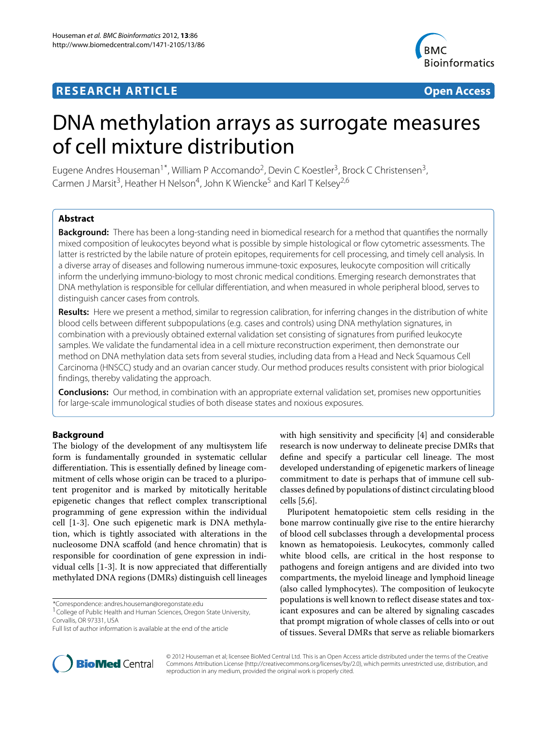## **RESEARCH ARTICLE Open Access**



# DNA methylation arrays as surrogate measures of cell mixture distribution

Eugene Andres Houseman<sup>1\*</sup>, William P Accomando<sup>2</sup>, Devin C Koestler<sup>3</sup>, Brock C Christensen<sup>3</sup>, Carmen J Marsit<sup>3</sup>, Heather H Nelson<sup>4</sup>, John K Wiencke<sup>5</sup> and Karl T Kelsey<sup>2,6</sup>

## **Abstract**

**Background:** There has been a long-standing need in biomedical research for a method that quantifies the normally mixed composition of leukocytes beyond what is possible by simple histological or flow cytometric assessments. The latter is restricted by the labile nature of protein epitopes, requirements for cell processing, and timely cell analysis. In a diverse array of diseases and following numerous immune-toxic exposures, leukocyte composition will critically inform the underlying immuno-biology to most chronic medical conditions. Emerging research demonstrates that DNA methylation is responsible for cellular differentiation, and when measured in whole peripheral blood, serves to distinguish cancer cases from controls.

**Results:** Here we present a method, similar to regression calibration, for inferring changes in the distribution of white blood cells between different subpopulations (e.g. cases and controls) using DNA methylation signatures, in combination with a previously obtained external validation set consisting of signatures from purified leukocyte samples. We validate the fundamental idea in a cell mixture reconstruction experiment, then demonstrate our method on DNA methylation data sets from several studies, including data from a Head and Neck Squamous Cell Carcinoma (HNSCC) study and an ovarian cancer study. Our method produces results consistent with prior biological findings, thereby validating the approach.

**Conclusions:** Our method, in combination with an appropriate external validation set, promises new opportunities for large-scale immunological studies of both disease states and noxious exposures.

## **Background**

The biology of the development of any multisystem life form is fundamentally grounded in systematic cellular differentiation. This is essentially defined by lineage commitment of cells whose origin can be traced to a pluripotent progenitor and is marked by mitotically heritable epigenetic changes that reflect complex transcriptional programming of gene expression within the individual cell [\[1](#page-14-0)[-3\]](#page-14-1). One such epigenetic mark is DNA methylation, which is tightly associated with alterations in the nucleosome DNA scaffold (and hence chromatin) that is responsible for coordination of gene expression in individual cells [\[1](#page-14-0)[-3\]](#page-14-1). It is now appreciated that differentially methylated DNA regions (DMRs) distinguish cell lineages

\*Correspondence: andres.houseman@oregonstate.edu

with high sensitivity and specificity [\[4\]](#page-14-2) and considerable research is now underway to delineate precise DMRs that define and specify a particular cell lineage. The most developed understanding of epigenetic markers of lineage commitment to date is perhaps that of immune cell subclasses defined by populations of distinct circulating blood cells [\[5,](#page-14-3)[6\]](#page-14-4).

Pluripotent hematopoietic stem cells residing in the bone marrow continually give rise to the entire hierarchy of blood cell subclasses through a developmental process known as hematopoiesis. Leukocytes, commonly called white blood cells, are critical in the host response to pathogens and foreign antigens and are divided into two compartments, the myeloid lineage and lymphoid lineage (also called lymphocytes). The composition of leukocyte populations is well known to reflect disease states and toxicant exposures and can be altered by signaling cascades that prompt migration of whole classes of cells into or out of tissues. Several DMRs that serve as reliable biomarkers



© 2012 Houseman et al; licensee BioMed Central Ltd. This is an Open Access article distributed under the terms of the Creative Commons Attribution License (http://creativecommons.org/licenses/by/2.0), which permits unrestricted use, distribution, and reproduction in any medium, provided the original work is properly cited.

<sup>&</sup>lt;sup>1</sup> College of Public Health and Human Sciences, Oregon State University, Corvallis, OR 97331, USA

Full list of author information is available at the end of the article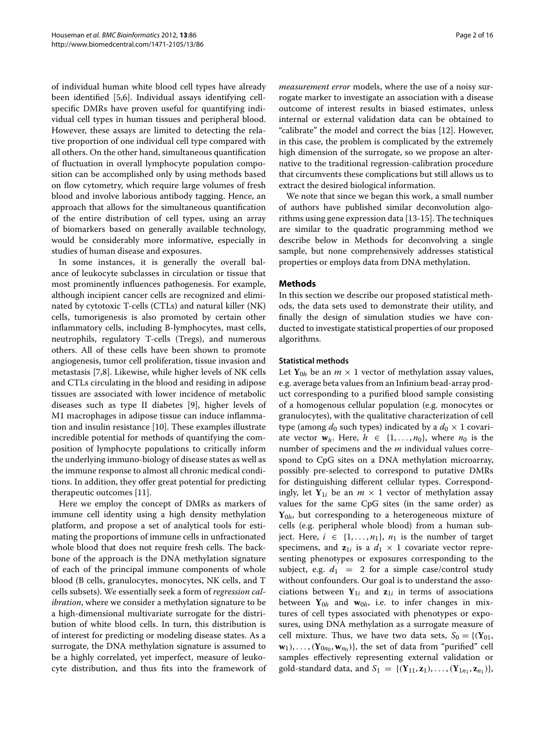of individual human white blood cell types have already been identified [\[5,](#page-14-3)[6\]](#page-14-4). Individual assays identifying cellspecific DMRs have proven useful for quantifying individual cell types in human tissues and peripheral blood. However, these assays are limited to detecting the relative proportion of one individual cell type compared with all others. On the other hand, simultaneous quantification of fluctuation in overall lymphocyte population composition can be accomplished only by using methods based on flow cytometry, which require large volumes of fresh blood and involve laborious antibody tagging. Hence, an approach that allows for the simultaneous quantification of the entire distribution of cell types, using an array of biomarkers based on generally available technology, would be considerably more informative, especially in studies of human disease and exposures.

In some instances, it is generally the overall balance of leukocyte subclasses in circulation or tissue that most prominently influences pathogenesis. For example, although incipient cancer cells are recognized and eliminated by cytotoxic T-cells (CTLs) and natural killer (NK) cells, tumorigenesis is also promoted by certain other inflammatory cells, including B-lymphocytes, mast cells, neutrophils, regulatory T-cells (Tregs), and numerous others. All of these cells have been shown to promote angiogenesis, tumor cell proliferation, tissue invasion and metastasis [\[7](#page-14-5)[,8\]](#page-14-6). Likewise, while higher levels of NK cells and CTLs circulating in the blood and residing in adipose tissues are associated with lower incidence of metabolic diseases such as type II diabetes [\[9\]](#page-14-7), higher levels of M1 macrophages in adipose tissue can induce inflammation and insulin resistance [\[10\]](#page-14-8). These examples illustrate incredible potential for methods of quantifying the composition of lymphocyte populations to critically inform the underlying immuno-biology of disease states as well as the immune response to almost all chronic medical conditions. In addition, they offer great potential for predicting therapeutic outcomes [\[11\]](#page-14-9).

Here we employ the concept of DMRs as markers of immune cell identity using a high density methylation platform, and propose a set of analytical tools for estimating the proportions of immune cells in unfractionated whole blood that does not require fresh cells. The backbone of the approach is the DNA methylation signature of each of the principal immune components of whole blood (B cells, granulocytes, monocytes, NK cells, and T cells subsets). We essentially seek a form of *regression calibration*, where we consider a methylation signature to be a high-dimensional multivariate surrogate for the distribution of white blood cells. In turn, this distribution is of interest for predicting or modeling disease states. As a surrogate, the DNA methylation signature is assumed to be a highly correlated, yet imperfect, measure of leukocyte distribution, and thus fits into the framework of *measurement error* models, where the use of a noisy surrogate marker to investigate an association with a disease outcome of interest results in biased estimates, unless internal or external validation data can be obtained to "calibrate" the model and correct the bias [\[12\]](#page-14-10). However, in this case, the problem is complicated by the extremely high dimension of the surrogate, so we propose an alternative to the traditional regression-calibration procedure that circumvents these complications but still allows us to extract the desired biological information.

We note that since we began this work, a small number of authors have published similar deconvolution algorithms using gene expression data [\[13-](#page-14-11)[15\]](#page-14-12). The techniques are similar to the quadratic programming method we describe below in Methods for deconvolving a single sample, but none comprehensively addresses statistical properties or employs data from DNA methylation.

## **Methods**

In this section we describe our proposed statistical methods, the data sets used to demonstrate their utility, and finally the design of simulation studies we have conducted to investigate statistical properties of our proposed algorithms.

#### **Statistical methods**

Let  $Y_{0h}$  be an  $m \times 1$  vector of methylation assay values, e.g. average beta values from an Infinium bead-array product corresponding to a purified blood sample consisting of a homogenous cellular population (e.g. monocytes or granulocytes), with the qualitative characterization of cell type (among  $d_0$  such types) indicated by a  $d_0 \times 1$  covariate vector  $\mathbf{w}_h$ . Here,  $h \in \{1, \ldots, n_0\}$ , where  $n_0$  is the number of specimens and the *m* individual values correspond to CpG sites on a DNA methylation microarray, possibly pre-selected to correspond to putative DMRs for distinguishing different cellular types. Correspondingly, let  $Y_{1i}$  be an  $m \times 1$  vector of methylation assay values for the same CpG sites (in the same order) as **Y**0*h*, but corresponding to a heterogeneous mixture of cells (e.g. peripheral whole blood) from a human subject. Here,  $i \in \{1, \ldots, n_1\}$ ,  $n_1$  is the number of target specimens, and  $z_{1i}$  is a  $d_1 \times 1$  covariate vector representing phenotypes or exposures corresponding to the subject, e.g.  $d_1 = 2$  for a simple case/control study without confounders. Our goal is to understand the associations between  $Y_{1i}$  and  $Z_{1i}$  in terms of associations between **Y**0*<sup>h</sup>* and **w**0*h*, i.e. to infer changes in mixtures of cell types associated with phenotypes or exposures, using DNA methylation as a surrogate measure of cell mixture. Thus, we have two data sets,  $S_0 = \{(\mathbf{Y}_{01}, \mathbf{Y}_{02})\}$  $\mathbf{w}_1$ ,...,  $(\mathbf{Y}_{0n_0}, \mathbf{w}_{n_0})\}$ , the set of data from "purified" cell samples effectively representing external validation or gold-standard data, and  $S_1 = \{(\mathbf{Y}_{11}, \mathbf{z}_{1}), \ldots, (\mathbf{Y}_{1n_1}, \mathbf{z}_{n_1})\},\$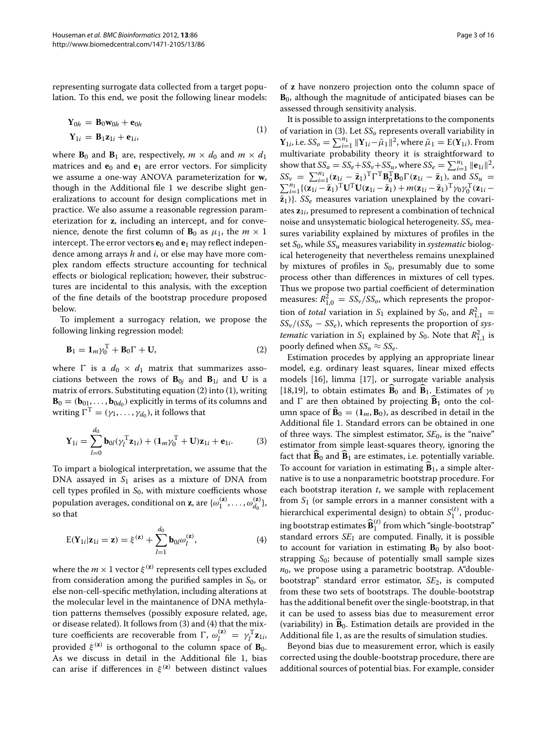<span id="page-2-1"></span>representing surrogate data collected from a target population. To this end, we posit the following linear models:

$$
Y_{0h} = B_0 w_{0h} + e_{0h}
$$
  
\n
$$
Y_{1i} = B_1 z_{1i} + e_{1i},
$$
\n(1)

where  $\mathbf{B}_0$  and  $\mathbf{B}_1$  are, respectively,  $m \times d_0$  and  $m \times d_1$ matrices and  $\mathbf{e}_0$  and  $\mathbf{e}_1$  are error vectors. For simplicity we assume a one-way ANOVA parameterization for **w**, though in the Additional file [1](#page-13-0) we describe slight generalizations to account for design complications met in practice. We also assume a reasonable regression parameterization for **z**, including an intercept, and for convenience, denote the first column of  $\mathbf{B}_0$  as  $\mu_1$ , the  $m \times 1$ intercept. The error vectors **e**<sup>0</sup> and **e**<sup>1</sup> may reflect independence among arrays *h* and *i*, or else may have more complex random effects structure accounting for technical effects or biological replication; however, their substructures are incidental to this analysis, with the exception of the fine details of the bootstrap procedure proposed below.

To implement a surrogacy relation, we propose the following linking regression model:

$$
\mathbf{B}_1 = \mathbf{1}_m \gamma_0^{\mathrm{T}} + \mathbf{B}_0 \Gamma + \mathbf{U}, \tag{2}
$$

where  $\Gamma$  is a  $d_0 \times d_1$  matrix that summarizes associations between the rows of  $\mathbf{B}_{0j}$  and  $\mathbf{B}_{1i}$  and  $\mathbf{U}$  is a matrix of errors. Substituting equation [\(2\)](#page-2-0) into [\(1\)](#page-2-1), writing  $\mathbf{B}_0 = (\mathbf{b}_{01}, \dots, \mathbf{b}_{0d_0})$  explicitly in terms of its columns and writing  $\Gamma^{\text{T}} = (\gamma_1, \ldots, \gamma_{d_0})$ , it follows that

$$
\mathbf{Y}_{1i} = \sum_{l=0}^{d_0} \mathbf{b}_{0l} (\gamma_l^{\mathrm{T}} \mathbf{z}_{1i}) + (\mathbf{1}_m \gamma_0^{\mathrm{T}} + \mathbf{U}) \mathbf{z}_{1i} + \mathbf{e}_{1i}.
$$
 (3)

To impart a biological interpretation, we assume that the DNA assayed in *S*<sup>1</sup> arises as a mixture of DNA from cell types profiled in *S*0, with mixture coefficients whose population averages, conditional on **z**, are  $\{\omega_1^{(\mathbf{z})}, \dots, \omega_{d_0}^{(\mathbf{z})}\}$ , so that

<span id="page-2-3"></span>
$$
E(\mathbf{Y}_{1i}|\mathbf{z}_{1i}=\mathbf{z})=\xi^{(\mathbf{z})}+\sum_{l=1}^{d_0}\mathbf{b}_{0l}\omega_l^{(\mathbf{z})},\qquad(4)
$$

where the  $m \times 1$  vector  $\xi^{(z)}$  represents cell types excluded from consideration among the purified samples in *S*0, or else non-cell-specific methylation, including alterations at the molecular level in the maintanence of DNA methylation patterns themselves (possibly exposure related, age, or disease related). It follows from [\(3\)](#page-2-2) and [\(4\)](#page-2-3) that the mixture coefficients are recoverable from  $\Gamma$ ,  $\omega_l^{(\mathbf{z})} = \gamma_l^{\mathbf{T}} \mathbf{z}_{1i}$ , provided  $\xi^{(z)}$  is orthogonal to the column space of **B**<sub>0</sub>. As we discuss in detail in the Additional file [1,](#page-13-0) bias can arise if differences in *ξ (***z***)* between distinct values of **z** have nonzero projection onto the column space of **B**0, although the magnitude of anticipated biases can be assessed through sensitivity analysis.

It is possible to assign interpretations to the components of variation in [\(3\)](#page-2-2). Let *SSo* represents overall variability in *Y*<sub>1*i*</sub>, i.e. *SS<sub>o</sub>* =  $\sum_{i=1}^{n_1} ||\mathbf{Y}_{1i} - \bar{\mu}_1||^2$ , where  $\bar{\mu}_1 = \text{E}(\mathbf{Y}_{1i})$ . From multivariate probability theory it is straightforward to show that  $SS_0 = SS_e + SS_v + SS_u$ , where  $SS_e = \sum_{i=1}^{n_1} ||\mathbf{e}_{1i}||^2$ ,  $SS_{\nu} = \sum_{i=1}^{n_1} (\mathbf{z}_{1i} - \bar{\mathbf{z}}_1)^{\mathrm{T}} \Gamma^{\mathrm{T}} \mathbf{B}_0^{\mathrm{T}} \mathbf{B}_0 \Gamma(\mathbf{z}_{1i} - \bar{\mathbf{z}}_1), \text{ and } SS_{\mu} = \sum_{i=1}^{n_1} \{ (\mathbf{z}_{1i} - \bar{\mathbf{z}}_1)^{\mathrm{T}} \mathbf{U}^{\mathrm{T}} \mathbf{U}(\mathbf{z}_{1i} - \bar{\mathbf{z}}_1) + m(\mathbf{z}_{1i} - \bar{\mathbf{z}}_1)^{\mathrm{T}} \gamma_0 \gamma_0^{\mathrm{T}}$  $\bar{z}_1$ )}. *SS<sub>e</sub>* measures variation unexplained by the covariates **z**1*i*, presumed to represent a combination of technical noise and unsystematic biological heterogeneity. *SSv* measures variability explained by mixtures of profiles in the set *S*0, while *SSu* measures variability in *systematic* biological heterogeneity that nevertheless remains unexplained by mixtures of profiles in  $S_0$ , presumably due to some process other than differences in mixtures of cell types. Thus we propose two partial coefficient of determination measures:  $R_{1,0}^2 = SS_v/SS_o$ , which represents the proportion of *total* variation in  $S_1$  explained by  $S_0$ , and  $R_{1,1}^2$  =  $SS_v/(SS_o - SS_e)$ , which represents the proportion of *systematic* variation in  $S_1$  explained by  $S_0$ . Note that  $R_{1,1}^2$  is poorly defined when  $SS_0 \approx SS_e$ .

<span id="page-2-2"></span><span id="page-2-0"></span>Estimation procedes by applying an appropriate linear model, e.g. ordinary least squares, linear mixed effects models [\[16\]](#page-14-13), limma [\[17\]](#page-14-14), or surrogate variable analysis [\[18,](#page-14-15)[19\]](#page-14-16), to obtain estimates  $\hat{\mathbf{B}}_0$  and  $\hat{\mathbf{B}}_1$ . Estimates of  $\gamma_0$ and  $\Gamma$  are then obtained by projecting  $\overline{B}_1$  onto the column space of  $\mathbf{\tilde{B}}_0 = (\mathbf{1}_m, \mathbf{B}_0)$ , as described in detail in the Additional file [1.](#page-13-0) Standard errors can be obtained in one of three ways. The simplest estimator, *SE*0, is the "naive" estimator from simple least-squares theory, ignoring the fact that  $\widehat{\mathbf{B}}_0$  and  $\widehat{\mathbf{B}}_1$  are estimates, i.e. potentially variable. To account for variation in estimating  $\widehat{\mathbf{B}}_1$ , a simple alternative is to use a nonparametric bootstrap procedure. For each bootstrap iteration *t*, we sample with replacement from *S*<sup>1</sup> (or sample errors in a manner consistent with a hierarchical experimental design) to obtain  $S_1^{(t)}$ , producing bootstrap estimates  $\widehat{\mathbf{B}}_{1}^{(t)}$  from which "single-bootstrap" standard errors  $SE<sub>1</sub>$  are computed. Finally, it is possible to account for variation in estimating  $B_0$  by also bootstrapping *S*0; because of potentially small sample sizes  $n_0$ , we propose using a parametric bootstrap. A doublebootstrap" standard error estimator, *SE*2, is computed from these two sets of bootstraps. The double-bootstrap has the additional benefit over the single-bootstrap, in that it can be used to assess bias due to measurement error (variability) in  $\widehat{\mathbf{B}}_0$ . Estimation details are provided in the Additional file [1,](#page-13-0) as are the results of simulation studies.

Beyond bias due to measurement error, which is easily corrected using the double-bootstrap procedure, there are additional sources of potential bias. For example, consider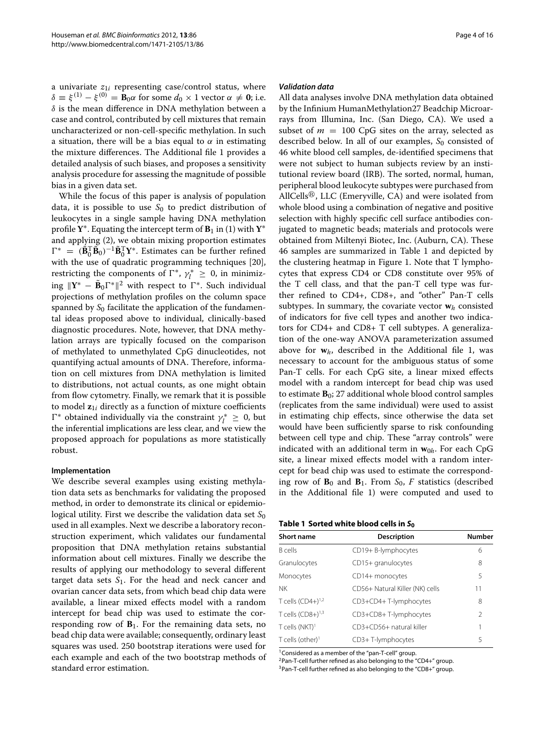a univariate  $z_{1i}$  representing case/control status, where *δ* ≡  $\xi$ <sup>(1)</sup> −  $\xi$ <sup>(0)</sup> = **B**<sub>0</sub>*α* for some *d*<sub>0</sub> × 1 vector *α* ≠ **0**; i.e. *δ* is the mean difference in DNA methylation between a case and control, contributed by cell mixtures that remain uncharacterized or non-cell-specific methylation. In such a situation, there will be a bias equal to  $\alpha$  in estimating the mixture differences. The Additional file [1](#page-13-0) provides a detailed analysis of such biases, and proposes a sensitivity analysis procedure for assessing the magnitude of possible bias in a given data set.

While the focus of this paper is analysis of population data, it is possible to use  $S_0$  to predict distribution of leukocytes in a single sample having DNA methylation profile  $Y^*$ . Equating the intercept term of  $B_1$  in [\(1\)](#page-2-1) with  $Y^*$ and applying [\(2\)](#page-2-0), we obtain mixing proportion estimates  $\Gamma^*$  =  $(\tilde{\mathbf{B}}_0^T \tilde{\mathbf{B}}_0)^{-1} \tilde{\mathbf{B}}_0^T \mathbf{Y}^*$ . Estimates can be further refined with the use of quadratic programming techniques [\[20\]](#page-14-17), restricting the components of  $\Gamma^*$ ,  $\gamma_l^* \geq 0$ , in minimizing  $||Y^* - \tilde{B}_0 \Gamma^*||^2$  with respect to  $\Gamma^*$ . Such individual projections of methylation profiles on the column space spanned by  $S_0$  facilitate the application of the fundamental ideas proposed above to individual, clinically-based diagnostic procedures. Note, however, that DNA methylation arrays are typically focused on the comparison of methylated to unmethylated CpG dinucleotides, not quantifying actual amounts of DNA. Therefore, information on cell mixtures from DNA methylation is limited to distributions, not actual counts, as one might obtain from flow cytometry. Finally, we remark that it is possible to model  $z_{1i}$  directly as a function of mixture coefficients  $\Gamma^*$  obtained individually via the constraint  $\gamma_l^* \geq 0$ , but the inferential implications are less clear, and we view the proposed approach for populations as more statistically robust.

## **Implementation**

We describe several examples using existing methylation data sets as benchmarks for validating the proposed method, in order to demonstrate its clinical or epidemiological utility. First we describe the validation data set  $S_0$ used in all examples. Next we describe a laboratory reconstruction experiment, which validates our fundamental proposition that DNA methylation retains substantial information about cell mixtures. Finally we describe the results of applying our methodology to several different target data sets  $S_1$ . For the head and neck cancer and ovarian cancer data sets, from which bead chip data were available, a linear mixed effects model with a random intercept for bead chip was used to estimate the corresponding row of  $B_1$ . For the remaining data sets, no bead chip data were available; consequently, ordinary least squares was used. 250 bootstrap iterations were used for each example and each of the two bootstrap methods of standard error estimation.

#### *Validation data*

All data analyses involve DNA methylation data obtained by the Infinium HumanMethylation27 Beadchip Microarrays from Illumina, Inc. (San Diego, CA). We used a subset of  $m = 100$  CpG sites on the array, selected as described below. In all of our examples, S<sub>0</sub> consisted of 46 white blood cell samples, de-identified specimens that were not subject to human subjects review by an institutional review board (IRB). The sorted, normal, human, peripheral blood leukocyte subtypes were purchased from AllCells $^{\circledR}$ , LLC (Emeryville, CA) and were isolated from whole blood using a combination of negative and positive selection with highly specific cell surface antibodies conjugated to magnetic beads; materials and protocols were obtained from Miltenyi Biotec, Inc. (Auburn, CA). These 46 samples are summarized in Table [1](#page-3-0) and depicted by the clustering heatmap in Figure [1.](#page-4-0) Note that T lymphocytes that express CD4 or CD8 constitute over 95% of the T cell class, and that the pan-T cell type was further refined to CD4+, CD8+, and "other" Pan-T cells subtypes. In summary, the covariate vector  $w_h$  consisted of indicators for five cell types and another two indicators for CD4+ and CD8+ T cell subtypes. A generalization of the one-way ANOVA parameterization assumed above for **w***h*, described in the Additional file [1,](#page-13-0) was necessary to account for the ambiguous status of some Pan-T cells. For each CpG site, a linear mixed effects model with a random intercept for bead chip was used to estimate **B**<sub>0</sub>; 27 additional whole blood control samples (replicates from the same individual) were used to assist in estimating chip effects, since otherwise the data set would have been sufficiently sparse to risk confounding between cell type and chip. These "array controls" were indicated with an additional term in  $w_{0h}$ . For each CpG site, a linear mixed effects model with a random intercept for bead chip was used to estimate the corresponding row of  $\mathbf{B}_0$  and  $\mathbf{B}_1$ . From  $S_0$ , *F* statistics (described in the Additional file [1\)](#page-13-0) were computed and used to

| Table 1 Sorted white blood cells in $S_0$ |  |  |
|-------------------------------------------|--|--|
|-------------------------------------------|--|--|

<span id="page-3-0"></span>

| <b>Short name</b>               | <b>Description</b>              | <b>Number</b>  |
|---------------------------------|---------------------------------|----------------|
| <b>B</b> cells                  | CD19+ B-lymphocytes             | 6              |
| Granulocytes                    | CD15+ granulocytes              | 8              |
| Monocytes                       | CD14+ monocytes                 | 5              |
| <b>NK</b>                       | CD56+ Natural Killer (NK) cells | 11             |
| T cells $(CD4+)$ <sup>1,2</sup> | CD3+CD4+T-lymphocytes           | 8              |
| T cells $(CD8+)$ <sup>1,3</sup> | CD3+CD8+T-lymphocytes           | $\mathfrak{D}$ |
| $T$ cells (NKT) <sup>1</sup>    | CD3+CD56+ natural killer        | 1              |
| $T$ cells (other) <sup>1</sup>  | CD3+T-lymphocytes               | 5              |

<sup>1</sup> Considered as a member of the "pan-T-cell" group.

<span id="page-3-1"></span> $2$ Pan-T-cell further refined as also belonging to the "CD4+" group. <sup>3</sup>Pan-T-cell further refined as also belonging to the "CD8+" group.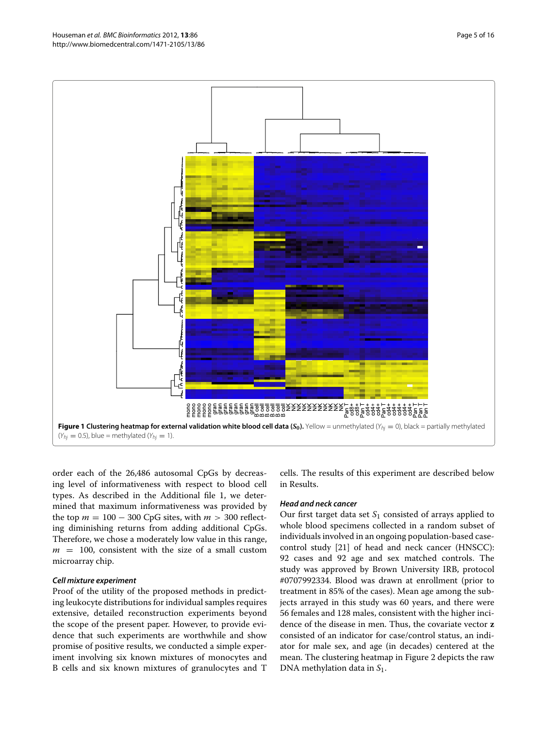

<span id="page-4-0"></span>order each of the 26,486 autosomal CpGs by decreasing level of informativeness with respect to blood cell types. As described in the Additional file [1,](#page-13-0) we determined that maximum informativeness was provided by the top  $m = 100 - 300$  CpG sites, with  $m > 300$  reflecting diminishing returns from adding additional CpGs. Therefore, we chose a moderately low value in this range,  $m = 100$ , consistent with the size of a small custom microarray chip.

## *Cell mixture experiment*

Proof of the utility of the proposed methods in predicting leukocyte distributions for individual samples requires extensive, detailed reconstruction experiments beyond the scope of the present paper. However, to provide evidence that such experiments are worthwhile and show promise of positive results, we conducted a simple experiment involving six known mixtures of monocytes and B cells and six known mixtures of granulocytes and T cells. The results of this experiment are described below in Results.

## *Head and neck cancer*

Our first target data set *S*<sup>1</sup> consisted of arrays applied to whole blood specimens collected in a random subset of individuals involved in an ongoing population-based casecontrol study [\[21\]](#page-14-18) of head and neck cancer (HNSCC): 92 cases and 92 age and sex matched controls. The study was approved by Brown University IRB, protocol #0707992334. Blood was drawn at enrollment (prior to treatment in 85% of the cases). Mean age among the subjects arrayed in this study was 60 years, and there were 56 females and 128 males, consistent with the higher incidence of the disease in men. Thus, the covariate vector **z** consisted of an indicator for case/control status, an indiator for male sex, and age (in decades) centered at the mean. The clustering heatmap in Figure [2](#page-5-0) depicts the raw DNA methylation data in *S*1.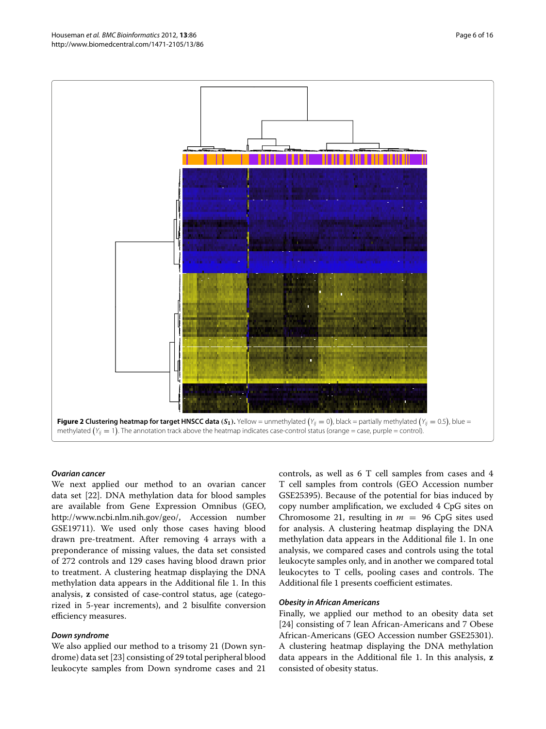

#### <span id="page-5-0"></span>*Ovarian cancer*

We next applied our method to an ovarian cancer data set [\[22\]](#page-14-19). DNA methylation data for blood samples are available from Gene Expression Omnibus (GEO, [http://www.ncbi.nlm.nih.gov/geo/,](http://www.ncbi.nlm.nih.gov/geo/) Accession number GSE19711). We used only those cases having blood drawn pre-treatment. After removing 4 arrays with a preponderance of missing values, the data set consisted of 272 controls and 129 cases having blood drawn prior to treatment. A clustering heatmap displaying the DNA methylation data appears in the Additional file [1.](#page-13-0) In this analysis, **z** consisted of case-control status, age (categorized in 5-year increments), and 2 bisulfite conversion efficiency measures.

#### *Down syndrome*

We also applied our method to a trisomy 21 (Down syndrome) data set [\[23\]](#page-14-20) consisting of 29 total peripheral blood leukocyte samples from Down syndrome cases and 21

controls, as well as 6 T cell samples from cases and 4 T cell samples from controls (GEO Accession number GSE25395). Because of the potential for bias induced by copy number amplification, we excluded 4 CpG sites on Chromosome 21, resulting in  $m = 96$  CpG sites used for analysis. A clustering heatmap displaying the DNA methylation data appears in the Additional file [1.](#page-13-0) In one analysis, we compared cases and controls using the total leukocyte samples only, and in another we compared total leukocytes to T cells, pooling cases and controls. The Additional file [1](#page-13-0) presents coefficient estimates.

#### *Obesity in African Americans*

Finally, we applied our method to an obesity data set [\[24\]](#page-14-21) consisting of 7 lean African-Americans and 7 Obese African-Americans (GEO Accession number GSE25301). A clustering heatmap displaying the DNA methylation data appears in the Additional file [1.](#page-13-0) In this analysis, **z** consisted of obesity status.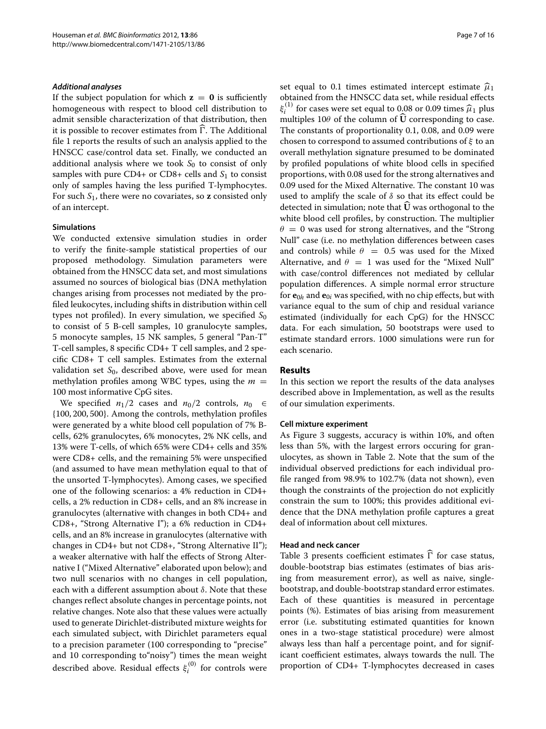## *Additional analyses*

If the subject population for which  $z = 0$  is sufficiently homogeneous with respect to blood cell distribution to admit sensible characterization of that distribution, then it is possible to recover estimates from  $\widehat{\Gamma}$ . The Additional file [1](#page-13-0) reports the results of such an analysis applied to the HNSCC case/control data set. Finally, we conducted an additional analysis where we took  $S_0$  to consist of only samples with pure  $CD4+$  or  $CD8+$  cells and  $S_1$  to consist only of samples having the less purified T-lymphocytes. For such *S*1, there were no covariates, so **z** consisted only of an intercept.

## **Simulations**

We conducted extensive simulation studies in order to verify the finite-sample statistical properties of our proposed methodology. Simulation parameters were obtained from the HNSCC data set, and most simulations assumed no sources of biological bias (DNA methylation changes arising from processes not mediated by the profiled leukocytes, including shifts in distribution within cell types not profiled). In every simulation, we specified  $S_0$ to consist of 5 B-cell samples, 10 granulocyte samples, 5 monocyte samples, 15 NK samples, 5 general "Pan-T" T-cell samples, 8 specific CD4+ T cell samples, and 2 specific CD8+ T cell samples. Estimates from the external validation set *S*<sub>0</sub>, described above, were used for mean methylation profiles among WBC types, using the  $m =$ 100 most informative CpG sites.

We specified  $n_1/2$  cases and  $n_0/2$  controls,  $n_0 \in$ {100, 200, 500}. Among the controls, methylation profiles were generated by a white blood cell population of 7% Bcells, 62% granulocytes, 6% monocytes, 2% NK cells, and 13% were T-cells, of which 65% were CD4+ cells and 35% were CD8+ cells, and the remaining 5% were unspecified (and assumed to have mean methylation equal to that of the unsorted T-lymphocytes). Among cases, we specified one of the following scenarios: a 4% reduction in CD4+ cells, a 2% reduction in CD8+ cells, and an 8% increase in granulocytes (alternative with changes in both CD4+ and CD8+, "Strong Alternative I"); a 6% reduction in CD4+ cells, and an 8% increase in granulocytes (alternative with changes in CD4+ but not CD8+, "Strong Alternative II"); a weaker alternative with half the effects of Strong Alternative I ("Mixed Alternative" elaborated upon below); and two null scenarios with no changes in cell population, each with a different assumption about *δ*. Note that these changes reflect absolute changes in percentage points, not relative changes. Note also that these values were actually used to generate Dirichlet-distributed mixture weights for each simulated subject, with Dirichlet parameters equal to a precision parameter (100 corresponding to "precise" and 10 corresponding to"noisy") times the mean weight described above. Residual effects  $\xi_i^{(0)}$  for controls were set equal to 0.1 times estimated intercept estimate  $\hat{\mu}_1$ obtained from the HNSCC data set, while residual effects  $\xi_i^{(1)}$  for cases were set equal to 0.08 or 0.09 times  $\widehat{\mu}_1$  plus multiples  $10\theta$  of the column of  $\widehat{U}$  corresponding to case. The constants of proportionality 0.1, 0.08, and 0.09 were chosen to correspond to assumed contributions of *ξ* to an overall methylation signature presumed to be dominated by profiled populations of white blood cells in specified proportions, with 0.08 used for the strong alternatives and 0.09 used for the Mixed Alternative. The constant 10 was used to amplify the scale of *δ* so that its effect could be detected in simulation; note that  $\widehat{U}$  was orthogonal to the white blood cell profiles, by construction. The multiplier  $\theta = 0$  was used for strong alternatives, and the "Strong" Null" case (i.e. no methylation differences between cases and controls) while  $\theta = 0.5$  was used for the Mixed Alternative, and  $\theta = 1$  was used for the "Mixed Null" with case/control differences not mediated by cellular population differences. A simple normal error structure for  $e_{0h}$  and  $e_{0i}$  was specified, with no chip effects, but with variance equal to the sum of chip and residual variance estimated (individually for each CpG) for the HNSCC data. For each simulation, 50 bootstraps were used to estimate standard errors. 1000 simulations were run for each scenario.

## **Results**

In this section we report the results of the data analyses described above in Implementation, as well as the results of our simulation experiments.

#### **Cell mixture experiment**

As Figure [3](#page-7-0) suggests, accuracy is within 10%, and often less than 5%, with the largest errors occuring for granulocytes, as shown in Table [2.](#page-7-1) Note that the sum of the individual observed predictions for each individual profile ranged from 98.9% to 102.7% (data not shown), even though the constraints of the projection do not explicitly constrain the sum to 100%; this provides additional evidence that the DNA methylation profile captures a great deal of information about cell mixtures.

#### **Head and neck cancer**

Table [3](#page-8-0) presents coefficient estimates  $\widehat{\Gamma}$  for case status, double-bootstrap bias estimates (estimates of bias arising from measurement error), as well as naive, singlebootstrap, and double-bootstrap standard error estimates. Each of these quantities is measured in percentage points (%). Estimates of bias arising from measurement error (i.e. substituting estimated quantities for known ones in a two-stage statistical procedure) were almost always less than half a percentage point, and for significant coefficient estimates, always towards the null. The proportion of CD4+ T-lymphocytes decreased in cases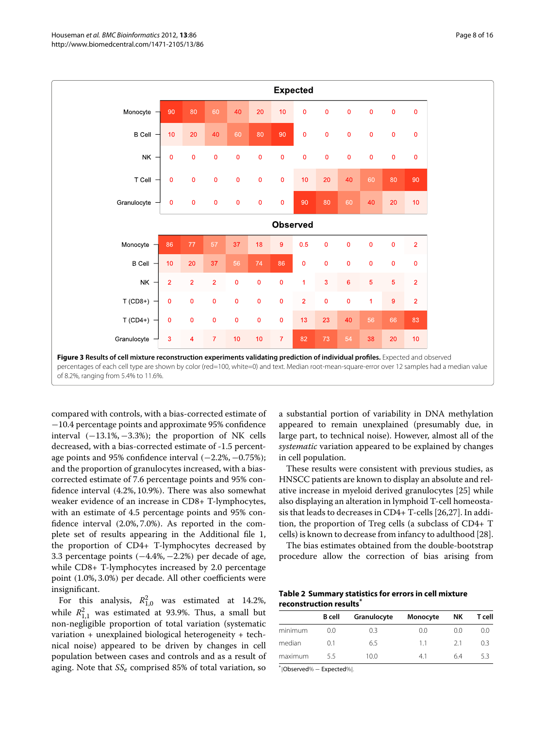

<span id="page-7-0"></span>compared with controls, with a bias-corrected estimate of −10.4 percentage points and approximate 95% confidence interval *(*−13.1%, −3.3%*)*; the proportion of NK cells decreased, with a bias-corrected estimate of -1.5 percentage points and 95% confidence interval *(*−2.2%, −0.75%*)*; and the proportion of granulocytes increased, with a biascorrected estimate of 7.6 percentage points and 95% confidence interval *(*4.2%, 10.9%*)*. There was also somewhat weaker evidence of an increase in CD8+ T-lymphocytes, with an estimate of 4.5 percentage points and 95% confidence interval *(*2.0%, 7.0%*)*. As reported in the complete set of results appearing in the Additional file [1,](#page-13-0) the proportion of CD4+ T-lymphocytes decreased by 3.3 percentage points *(*−4.4%, −2.2%*)* per decade of age, while CD8+ T-lymphocytes increased by 2.0 percentage point *(*1.0%, 3.0%*)* per decade. All other coefficients were insignificant.

For this analysis,  $R_{1,0}^2$  was estimated at 14.2%, while  $R_{1,1}^2$  was estimated at 93.9%. Thus, a small but non-negligible proportion of total variation (systematic variation + unexplained biological heterogeneity + technical noise) appeared to be driven by changes in cell population between cases and controls and as a result of aging. Note that *SSe* comprised 85% of total variation, so

a substantial portion of variability in DNA methylation appeared to remain unexplained (presumably due, in large part, to technical noise). However, almost all of the *systematic* variation appeared to be explained by changes in cell population.

These results were consistent with previous studies, as HNSCC patients are known to display an absolute and relative increase in myeloid derived granulocytes [\[25\]](#page-14-22) while also displaying an alteration in lymphoid T-cell homeostasis that leads to decreases in CD4+ T-cells [\[26,](#page-14-23)[27\]](#page-14-24). In addition, the proportion of Treg cells (a subclass of CD4+ T cells) is known to decrease from infancy to adulthood [\[28\]](#page-14-25).

The bias estimates obtained from the double-bootstrap procedure allow the correction of bias arising from

## <span id="page-7-1"></span>**Table 2 Summary statistics for errors in cell mixture reconstruction results\***

|         | B cell | Granulocyte | Monocyte | NΚ  | T cell |
|---------|--------|-------------|----------|-----|--------|
| minimum | 0.0    | 0.3         | 0.0      | 0.0 | 0.0    |
| median  | 01     | 6.5         | 11       | -21 | 03     |
| maximum | 55     | 10.0        | 4.1      | 64  | 53     |

\*|Observed% <sup>−</sup> Expected%|.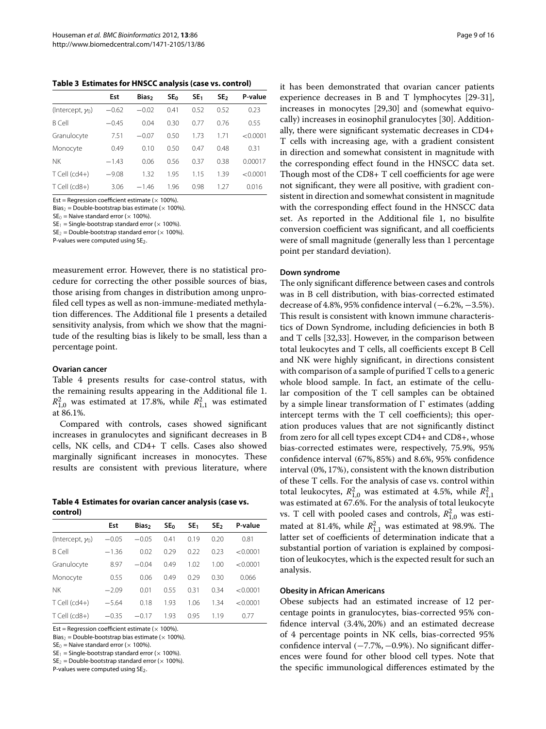**Table 3 Estimates for HNSCC analysis (case vs. control)**

<span id="page-8-0"></span>

|                          | Est     | <b>Bias</b> | SE <sub>0</sub> | SE <sub>1</sub> | SE <sub>2</sub> | P-value  |
|--------------------------|---------|-------------|-----------------|-----------------|-----------------|----------|
| (Intercept, $\gamma_0$ ) | $-0.62$ | $-0.02$     | 0.41            | 0.52            | 0.52            | 0.23     |
| <b>B</b> Cell            | $-0.45$ | 0.04        | 0.30            | 0.77            | 0.76            | 0.55     |
| Granulocyte              | 7.51    | $-0.07$     | 0.50            | 1.73            | 1.71            | < 0.0001 |
| Monocyte                 | 0.49    | 0.10        | 0.50            | 0.47            | 0.48            | 0.31     |
| <b>NK</b>                | $-1.43$ | 0.06        | 0.56            | 0.37            | 0.38            | 0.00017  |
| $T$ Cell (cd4+)          | $-9.08$ | 1.32        | 1.95            | 1.15            | 1.39            | < 0.0001 |
| $T$ Cell (cd8+)          | 3.06    | $-1.46$     | 1.96            | 0.98            | 1.27            | 0.016    |

Est = Regression coefficient estimate ( $\times$  100%).

Bias<sub>2</sub> = Double-bootstrap bias estimate ( $\times$  100%).

 $SE_0$  = Naive standard error ( $\times$  100%).

 $SE_1 =$  Single-bootstrap standard error ( $\times$  100%).

 $SE_2 = Double-bootstrap$  standard error ( $\times$  100%).

P-values were computed using SE<sub>2</sub>.

measurement error. However, there is no statistical procedure for correcting the other possible sources of bias, those arising from changes in distribution among unprofiled cell types as well as non-immune-mediated methylation differences. The Additional file [1](#page-13-0) presents a detailed sensitivity analysis, from which we show that the magnitude of the resulting bias is likely to be small, less than a percentage point.

#### **Ovarian cancer**

Table [4](#page-8-1) presents results for case-control status, with the remaining results appearing in the Additional file [1.](#page-13-0)  $R_{1,0}^2$  was estimated at 17.8%, while  $R_{1,1}^2$  was estimated at 86.1%.

Compared with controls, cases showed significant increases in granulocytes and significant decreases in B cells, NK cells, and CD4+ T cells. Cases also showed marginally significant increases in monocytes. These results are consistent with previous literature, where

**Table 4 Estimates for ovarian cancer analysis (case vs. control)**

<span id="page-8-1"></span>

|                       | Est     | Bias <sub>2</sub> | SE <sub>0</sub> | SE <sub>1</sub> | SE <sub>2</sub> | P-value  |  |
|-----------------------|---------|-------------------|-----------------|-----------------|-----------------|----------|--|
| (Intercept, $\nu_0$ ) | $-0.05$ | $-0.05$           | 0.41            | 0.19            | 0.20            | 0.81     |  |
| <b>B</b> Cell         | $-1.36$ | 0.02              | 0.29            | 0.22            | 0.23            | < 0.0001 |  |
| Granulocyte           | 8.97    | $-0.04$           | 0.49            | 1.02            | 1.00            | < 0.0001 |  |
| Monocyte              | 0.55    | 0.06              | 0.49            | 0.29            | 0.30            | 0.066    |  |
| NΚ                    | $-2.09$ | 0.01              | 0.55            | 0.31            | 0.34            | < 0.0001 |  |
| T Cell (cd4+)         | $-5.64$ | 0.18              | 1.93            | 1.06            | 1.34            | < 0.0001 |  |
| T Cell (cd8+)         | $-0.35$ | $-0.17$           | 1.93            | 0.95            | 119             | 0.77     |  |
|                       |         |                   |                 |                 |                 |          |  |

Est = Regression coefficient estimate ( $\times$  100%)

Bias<sub>2</sub> = Double-bootstrap bias estimate ( $\times$  100%).

 $SE_0$  = Naive standard error ( $\times$  100%).

 $SE_1 =$  Single-bootstrap standard error ( $\times$  100%).

 $SE_2 = Double-bootstrap$  standard error ( $\times$  100%).

P-values were computed using SE<sub>2</sub>.

it has been demonstrated that ovarian cancer patients experience decreases in B and T lymphocytes [\[29](#page-14-26)[-31\]](#page-14-27), increases in monocytes [\[29,](#page-14-26)[30\]](#page-14-28) and (somewhat equivocally) increases in eosinophil granulocytes [\[30\]](#page-14-28). Additionally, there were significant systematic decreases in CD4+ T cells with increasing age, with a gradient consistent in direction and somewhat consistent in magnitude with the corresponding effect found in the HNSCC data set. Though most of the CD8+ T cell coefficients for age were not significant, they were all positive, with gradient consistent in direction and somewhat consistent in magnitude with the corresponding effect found in the HNSCC data set. As reported in the Additional file [1,](#page-13-0) no bisulfite conversion coefficient was significant, and all coefficients were of small magnitude (generally less than 1 percentage point per standard deviation).

## **Down syndrome**

The only significant difference between cases and controls was in B cell distribution, with bias-corrected estimated decrease of 4.8%, 95% confidence interval*(*−6.2%, −3.5%*)*. This result is consistent with known immune characteristics of Down Syndrome, including deficiencies in both B and T cells [\[32](#page-14-29)[,33\]](#page-14-30). However, in the comparison between total leukocytes and T cells, all coefficients except B Cell and NK were highly significant, in directions consistent with comparison of a sample of purified T cells to a generic whole blood sample. In fact, an estimate of the cellular composition of the T cell samples can be obtained by a simple linear transformation of  $\Gamma$  estimates (adding intercept terms with the T cell coefficients); this operation produces values that are not significantly distinct from zero for all cell types except CD4+ and CD8+, whose bias-corrected estimates were, respectively, 75.9%, 95% confidence interval *(*67%, 85%*)* and 8.6%, 95% confidence interval *(*0%, 17%*)*, consistent with the known distribution of these T cells. For the analysis of case vs. control within total leukocytes,  $R_{1,0}^2$  was estimated at 4.5%, while  $R_{1,1}^2$ was estimated at 67.6%. For the analysis of total leukocyte vs. T cell with pooled cases and controls,  $R_{1,0}^2$  was estimated at 81.4%, while  $R_{1,1}^2$  was estimated at 98.9%. The latter set of coefficients of determination indicate that a substantial portion of variation is explained by composition of leukocytes, which is the expected result for such an analysis.

#### **Obesity in African Americans**

Obese subjects had an estimated increase of 12 percentage points in granulocytes, bias-corrected 95% confidence interval *(*3.4%, 20%*)* and an estimated decrease of 4 percentage points in NK cells, bias-corrected 95% confidence interval *(*−7.7%, −0.9%*)*. No significant differences were found for other blood cell types. Note that the specific immunological differences estimated by the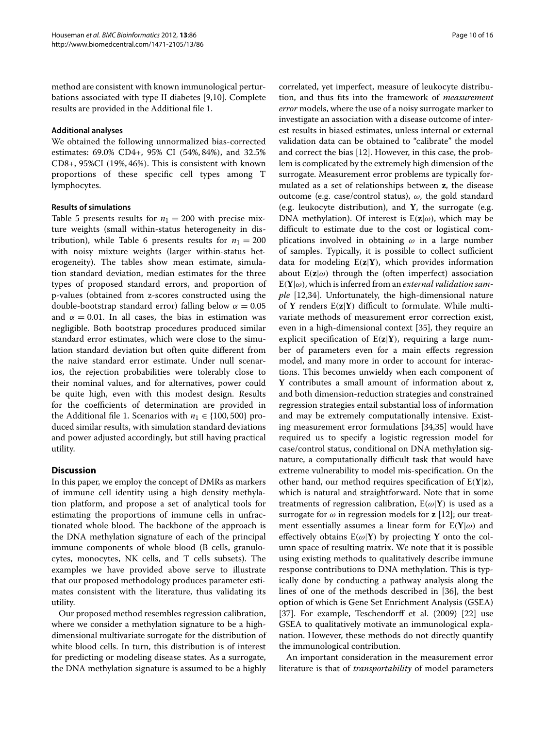method are consistent with known immunological perturbations associated with type II diabetes [\[9,](#page-14-7)[10\]](#page-14-8). Complete results are provided in the Additional file [1.](#page-13-0)

## **Additional analyses**

We obtained the following unnormalized bias-corrected estimates: 69.0% CD4+, 95% CI *(*54%, 84%*)*, and 32.5% CD8+, 95%CI *(*19%, 46%*)*. This is consistent with known proportions of these specific cell types among T lymphocytes.

## **Results of simulations**

Table [5](#page-10-0) presents results for  $n_1 = 200$  with precise mixture weights (small within-status heterogeneity in dis-tribution), while Table [6](#page-11-0) presents results for  $n_1 = 200$ with noisy mixture weights (larger within-status heterogeneity). The tables show mean estimate, simulation standard deviation, median estimates for the three types of proposed standard errors, and proportion of p-values (obtained from z-scores constructed using the double-bootstrap standard error) falling below  $\alpha = 0.05$ and  $\alpha = 0.01$ . In all cases, the bias in estimation was negligible. Both bootstrap procedures produced similar standard error estimates, which were close to the simulation standard deviation but often quite different from the naive standard error estimate. Under null scenarios, the rejection probabilities were tolerably close to their nominal values, and for alternatives, power could be quite high, even with this modest design. Results for the coefficients of determination are provided in the Additional file [1.](#page-13-0) Scenarios with  $n_1 \in \{100, 500\}$  produced similar results, with simulation standard deviations and power adjusted accordingly, but still having practical utility.

## **Discussion**

In this paper, we employ the concept of DMRs as markers of immune cell identity using a high density methylation platform, and propose a set of analytical tools for estimating the proportions of immune cells in unfractionated whole blood. The backbone of the approach is the DNA methylation signature of each of the principal immune components of whole blood (B cells, granulocytes, monocytes, NK cells, and T cells subsets). The examples we have provided above serve to illustrate that our proposed methodology produces parameter estimates consistent with the literature, thus validating its utility.

Our proposed method resembles regression calibration, where we consider a methylation signature to be a highdimensional multivariate surrogate for the distribution of white blood cells. In turn, this distribution is of interest for predicting or modeling disease states. As a surrogate, the DNA methylation signature is assumed to be a highly correlated, yet imperfect, measure of leukocyte distribution, and thus fits into the framework of *measurement error* models, where the use of a noisy surrogate marker to investigate an association with a disease outcome of interest results in biased estimates, unless internal or external validation data can be obtained to "calibrate" the model and correct the bias [\[12\]](#page-14-10). However, in this case, the problem is complicated by the extremely high dimension of the surrogate. Measurement error problems are typically formulated as a set of relationships between **z**, the disease outcome (e.g. case/control status), *ω*, the gold standard (e.g. leukocyte distribution), and **Y**, the surrogate (e.g. DNA methylation). Of interest is  $E(z|\omega)$ , which may be difficult to estimate due to the cost or logistical complications involved in obtaining *ω* in a large number of samples. Typically, it is possible to collect sufficient data for modeling E*(***z**|**Y***)*, which provides information about  $E(z|\omega)$  through the (often imperfect) association  $E(Y|\omega)$ , which is inferred from an *external validation sample* [\[12](#page-14-10)[,34\]](#page-14-31). Unfortunately, the high-dimensional nature of **Y** renders E*(***z**|**Y***)* difficult to formulate. While multivariate methods of measurement error correction exist, even in a high-dimensional context [\[35\]](#page-14-32), they require an explicit specification of E*(***z**|**Y***)*, requiring a large number of parameters even for a main effects regression model, and many more in order to account for interactions. This becomes unwieldy when each component of **Y** contributes a small amount of information about **z**, and both dimension-reduction strategies and constrained regression strategies entail substantial loss of information and may be extremely computationally intensive. Existing measurement error formulations [\[34,](#page-14-31)[35\]](#page-14-32) would have required us to specify a logistic regression model for case/control status, conditional on DNA methylation signature, a computationally difficult task that would have extreme vulnerability to model mis-specification. On the other hand, our method requires specification of E*(***Y**|**z***)*, which is natural and straightforward. Note that in some treatments of regression calibration,  $E(\omega|Y)$  is used as a surrogate for *ω* in regression models for **z** [\[12\]](#page-14-10); our treatment essentially assumes a linear form for E*(***Y**|*ω)* and effectively obtains  $E(\omega|Y)$  by projecting Y onto the column space of resulting matrix. We note that it is possible using existing methods to qualitatively describe immune response contributions to DNA methylation. This is typically done by conducting a pathway analysis along the lines of one of the methods described in [\[36\]](#page-14-33), the best option of which is Gene Set Enrichment Analysis (GSEA) [\[37\]](#page-14-34). For example, Teschendorff et al. (2009) [\[22\]](#page-14-19) use GSEA to qualitatively motivate an immunological explanation. However, these methods do not directly quantify the immunological contribution.

An important consideration in the measurement error literature is that of *transportability* of model parameters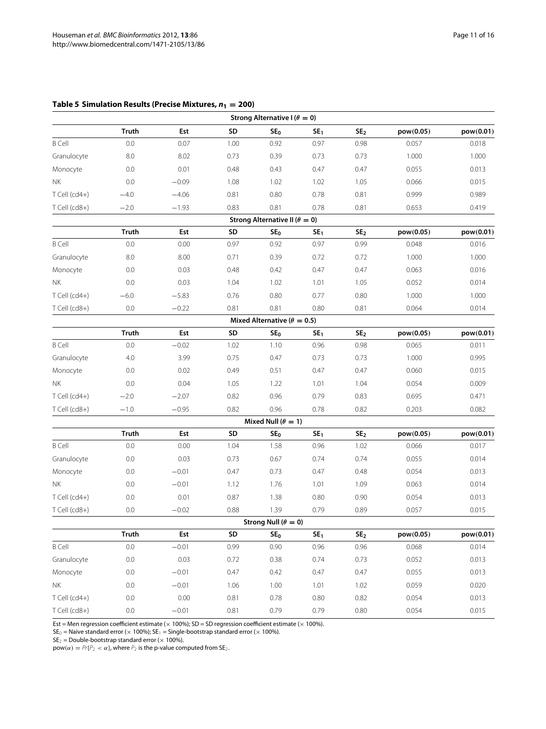<span id="page-10-0"></span>

|                 |              |         |      | Strong Alternative I ( $\theta = 0$ )  |                 |                 |           |           |
|-----------------|--------------|---------|------|----------------------------------------|-----------------|-----------------|-----------|-----------|
|                 | <b>Truth</b> | Est     | SD   | SE <sub>0</sub>                        | SE <sub>1</sub> | SE <sub>2</sub> | pow(0.05) | pow(0.01) |
| <b>B</b> Cell   | $0.0\,$      | 0.07    | 1.00 | 0.92                                   | 0.97            | 0.98            | 0.057     | 0.018     |
| Granulocyte     | 8.0          | 8.02    | 0.73 | 0.39                                   | 0.73            | 0.73            | 1.000     | 1.000     |
| Monocyte        | 0.0          | 0.01    | 0.48 | 0.43                                   | 0.47            | 0.47            | 0.055     | 0.013     |
| <b>NK</b>       | 0.0          | $-0.09$ | 1.08 | 1.02                                   | 1.02            | 1.05            | 0.066     | 0.015     |
| $T$ Cell (cd4+) | $-4.0$       | $-4.06$ | 0.81 | 0.80                                   | 0.78            | 0.81            | 0.999     | 0.989     |
| T Cell (cd8+)   | $-2.0$       | $-1.93$ | 0.83 | 0.81                                   | 0.78            | 0.81            | 0.653     | 0.419     |
|                 |              |         |      | Strong Alternative II ( $\theta = 0$ ) |                 |                 |           |           |
|                 | <b>Truth</b> | Est     | SD   | SE <sub>0</sub>                        | SE <sub>1</sub> | SE <sub>2</sub> | pow(0.05) | pow(0.01) |
| <b>B</b> Cell   | 0.0          | 0.00    | 0.97 | 0.92                                   | 0.97            | 0.99            | 0.048     | 0.016     |
| Granulocyte     | 8.0          | 8.00    | 0.71 | 0.39                                   | 0.72            | 0.72            | 1.000     | 1.000     |
| Monocyte        | 0.0          | 0.03    | 0.48 | 0.42                                   | 0.47            | 0.47            | 0.063     | 0.016     |
| <b>NK</b>       | 0.0          | 0.03    | 1.04 | 1.02                                   | 1.01            | 1.05            | 0.052     | 0.014     |
| $T$ Cell (cd4+) | $-6.0$       | $-5.83$ | 0.76 | 0.80                                   | 0.77            | 0.80            | 1.000     | 1.000     |
| T Cell (cd8+)   | 0.0          | $-0.22$ | 0.81 | 0.81                                   | 0.80            | 0.81            | 0.064     | 0.014     |
|                 |              |         |      | Mixed Alternative ( $\theta = 0.5$ )   |                 |                 |           |           |
|                 | <b>Truth</b> | Est     | SD   | SE <sub>0</sub>                        | SE <sub>1</sub> | SE <sub>2</sub> | pow(0.05) | pow(0.01) |
| <b>B</b> Cell   | $0.0\,$      | $-0.02$ | 1.02 | 1.10                                   | 0.96            | 0.98            | 0.065     | 0.011     |
| Granulocyte     | 4.0          | 3.99    | 0.75 | 0.47                                   | 0.73            | 0.73            | 1.000     | 0.995     |
| Monocyte        | 0.0          | 0.02    | 0.49 | 0.51                                   | 0.47            | 0.47            | 0.060     | 0.015     |
| <b>NK</b>       | 0.0          | 0.04    | 1.05 | 1.22                                   | 1.01            | 1.04            | 0.054     | 0.009     |
| $T$ Cell (cd4+) | $-2.0$       | $-2.07$ | 0.82 | 0.96                                   | 0.79            | 0.83            | 0.695     | 0.471     |
| T Cell (cd8+)   | $-1.0$       | $-0.95$ | 0.82 | 0.96                                   | 0.78            | 0.82            | 0.203     | 0.082     |
|                 |              |         |      | Mixed Null ( $\theta = 1$ )            |                 |                 |           |           |
|                 | <b>Truth</b> | Est     | SD   | SE <sub>0</sub>                        | SE <sub>1</sub> | SE <sub>2</sub> | pow(0.05) | pow(0.01) |
| <b>B</b> Cell   | $0.0\,$      | 0.00    | 1.04 | 1.58                                   | 0.96            | 1.02            | 0.066     | 0.017     |
| Granulocyte     | 0.0          | 0.03    | 0.73 | 0.67                                   | 0.74            | 0.74            | 0.055     | 0.014     |
| Monocyte        | 0.0          | $-0.01$ | 0.47 | 0.73                                   | 0.47            | 0.48            | 0.054     | 0.013     |
| <b>NK</b>       | 0.0          | $-0.01$ | 1.12 | 1.76                                   | 1.01            | 1.09            | 0.063     | 0.014     |
| $T$ Cell (cd4+) | 0.0          | 0.01    | 0.87 | 1.38                                   | 0.80            | 0.90            | 0.054     | 0.013     |
| T Cell (cd8+)   | 0.0          | $-0.02$ | 0.88 | 1.39                                   | 0.79            | 0.89            | 0.057     | 0.015     |
|                 |              |         |      | Strong Null ( $\theta = 0$ )           |                 |                 |           |           |
|                 | <b>Truth</b> | Est     | SD   | SE <sub>0</sub>                        | SE <sub>1</sub> | SE <sub>2</sub> | pow(0.05) | pow(0.01) |
| <b>B</b> Cell   | 0.0          | $-0.01$ | 0.99 | 0.90                                   | 0.96            | 0.96            | 0.068     | 0.014     |
| Granulocyte     | $0.0\,$      | 0.03    | 0.72 | 0.38                                   | 0.74            | 0.73            | 0.052     | 0.013     |
| Monocyte        | 0.0          | $-0.01$ | 0.47 | 0.42                                   | 0.47            | 0.47            | 0.055     | 0.013     |
| <b>NK</b>       | 0.0          | $-0.01$ | 1.06 | 1.00                                   | 1.01            | 1.02            | 0.059     | 0.020     |
| T Cell (cd4+)   | $0.0\,$      | 0.00    | 0.81 | 0.78                                   | 0.80            | 0.82            | 0.054     | 0.013     |
| T Cell (cd8+)   | $0.0\,$      | $-0.01$ | 0.81 | 0.79                                   | 0.79            | $0.80\,$        | 0.054     | 0.015     |

Est = Men regression coefficient estimate ( $\times$  100%); SD = SD regression coefficient estimate ( $\times$  100%).

 $SE_0$  = Naive standard error ( $\times$  100%); SE<sub>1</sub> = Single-bootstrap standard error ( $\times$  100%).

 $SE_2 = Double-bookstrap$  standard error ( $\times$  100%).

 $pow(\alpha) = Pr\{\frac{P_2}{<\alpha\}}$ , where  $\frac{P_2}{<\alpha}$  is the p-value computed from SE<sub>2</sub>.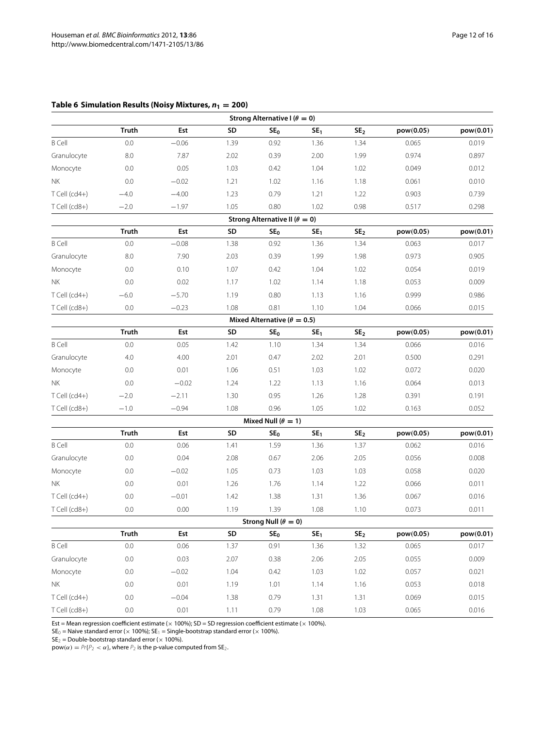## Table 6 Simulation Results (Noisy Mixtures,  $n_1 = 200$ )

<span id="page-11-0"></span>

|               |              |         |      | Strong Alternative I ( $\theta = 0$ )  |                 |                 |           |           |
|---------------|--------------|---------|------|----------------------------------------|-----------------|-----------------|-----------|-----------|
|               | Truth        | Est     | SD   | SE <sub>0</sub>                        | SE <sub>1</sub> | SE <sub>2</sub> | pow(0.05) | pow(0.01) |
| <b>B</b> Cell | $0.0\,$      | $-0.06$ | 1.39 | 0.92                                   | 1.36            | 1.34            | 0.065     | 0.019     |
| Granulocyte   | 8.0          | 7.87    | 2.02 | 0.39                                   | 2.00            | 1.99            | 0.974     | 0.897     |
| Monocyte      | 0.0          | 0.05    | 1.03 | 0.42                                   | 1.04            | 1.02            | 0.049     | 0.012     |
| ΝK            | 0.0          | $-0.02$ | 1.21 | 1.02                                   | 1.16            | 1.18            | 0.061     | 0.010     |
| T Cell (cd4+) | $-4.0$       | $-4.00$ | 1.23 | 0.79                                   | 1.21            | 1.22            | 0.903     | 0.739     |
| T Cell (cd8+) | $-2.0$       | $-1.97$ | 1.05 | 0.80                                   | 1.02            | 0.98            | 0.517     | 0.298     |
|               |              |         |      | Strong Alternative II ( $\theta = 0$ ) |                 |                 |           |           |
|               | <b>Truth</b> | Est     | SD   | SE <sub>0</sub>                        | SE <sub>1</sub> | SE <sub>2</sub> | pow(0.05) | pow(0.01) |
| <b>B</b> Cell | $0.0\,$      | $-0.08$ | 1.38 | 0.92                                   | 1.36            | 1.34            | 0.063     | 0.017     |
| Granulocyte   | $8.0\,$      | 7.90    | 2.03 | 0.39                                   | 1.99            | 1.98            | 0.973     | 0.905     |
| Monocyte      | 0.0          | 0.10    | 1.07 | 0.42                                   | 1.04            | 1.02            | 0.054     | 0.019     |
| ΝK            | 0.0          | 0.02    | 1.17 | 1.02                                   | 1.14            | 1.18            | 0.053     | 0.009     |
| T Cell (cd4+) | $-6.0$       | $-5.70$ | 1.19 | 0.80                                   | 1.13            | 1.16            | 0.999     | 0.986     |
| T Cell (cd8+) | 0.0          | $-0.23$ | 1.08 | 0.81                                   | 1.10            | 1.04            | 0.066     | 0.015     |
|               |              |         |      | Mixed Alternative ( $\theta = 0.5$ )   |                 |                 |           |           |
|               | <b>Truth</b> | Est     | SD   | SE <sub>0</sub>                        | SE <sub>1</sub> | SE <sub>2</sub> | pow(0.05) | pow(0.01) |
| <b>B</b> Cell | 0.0          | 0.05    | 1.42 | 1.10                                   | 1.34            | 1.34            | 0.066     | 0.016     |
| Granulocyte   | 4.0          | 4.00    | 2.01 | 0.47                                   | 2.02            | 2.01            | 0.500     | 0.291     |
| Monocyte      | 0.0          | 0.01    | 1.06 | 0.51                                   | 1.03            | 1.02            | 0.072     | 0.020     |
| ΝK            | 0.0          | $-0.02$ | 1.24 | 1.22                                   | 1.13            | 1.16            | 0.064     | 0.013     |
| T Cell (cd4+) | $-2.0$       | $-2.11$ | 1.30 | 0.95                                   | 1.26            | 1.28            | 0.391     | 0.191     |
| T Cell (cd8+) | $-1.0$       | $-0.94$ | 1.08 | 0.96                                   | 1.05            | 1.02            | 0.163     | 0.052     |
|               |              |         |      | Mixed Null ( $\theta = 1$ )            |                 |                 |           |           |
|               | <b>Truth</b> | Est     | SD   | SE <sub>0</sub>                        | SE <sub>1</sub> | SE <sub>2</sub> | pow(0.05) | pow(0.01) |
| <b>B</b> Cell | $0.0\,$      | 0.06    | 1.41 | 1.59                                   | 1.36            | 1.37            | 0.062     | 0.016     |
| Granulocyte   | 0.0          | 0.04    | 2.08 | 0.67                                   | 2.06            | 2.05            | 0.056     | 0.008     |
| Monocyte      | 0.0          | $-0.02$ | 1.05 | 0.73                                   | 1.03            | 1.03            | 0.058     | 0.020     |
| NΚ            | 0.0          | 0.01    | 1.26 | 1.76                                   | 1.14            | 1.22            | 0.066     | 0.011     |
| T Cell (cd4+) | 0.0          | $-0.01$ | 1.42 | 1.38                                   | 1.31            | 1.36            | 0.067     | 0.016     |
| T Cell (cd8+) | 0.0          | 0.00    | 1.19 | 1.39                                   | 1.08            | 1.10            | 0.073     | 0.011     |
|               |              |         |      | Strong Null ( $\theta = 0$ )           |                 |                 |           |           |
|               | <b>Truth</b> | Est     | SD   | SE <sub>0</sub>                        | SE <sub>1</sub> | SE <sub>2</sub> | pow(0.05) | pow(0.01) |
| <b>B</b> Cell | $0.0\,$      | 0.06    | 1.37 | 0.91                                   | 1.36            | 1.32            | 0.065     | 0.017     |
| Granulocyte   | 0.0          | 0.03    | 2.07 | 0.38                                   | 2.06            | 2.05            | 0.055     | 0.009     |
| Monocyte      | $0.0\,$      | $-0.02$ | 1.04 | 0.42                                   | 1.03            | 1.02            | 0.057     | 0.021     |
| ΝK            | 0.0          | 0.01    | 1.19 | 1.01                                   | 1.14            | 1.16            | 0.053     | 0.018     |
| T Cell (cd4+) | $0.0\,$      | $-0.04$ | 1.38 | 0.79                                   | 1.31            | 1.31            | 0.069     | 0.015     |
| T Cell (cd8+) | $0.0\,$      | 0.01    | 1.11 | 0.79                                   | 1.08            | 1.03            | 0.065     | 0.016     |

Est = Mean regression coefficient estimate ( $\times$  100%); SD = SD regression coefficient estimate ( $\times$  100%).

 $SE_0$  = Naive standard error ( $\times$  100%); SE<sub>1</sub> = Single-bootstrap standard error ( $\times$  100%).

 $SE_2 = Double-bookstrap$  standard error ( $\times$  100%).

 $pow(\alpha) = Pr{P_2 < \alpha}$ , where  $P_2$  is the p-value computed from SE<sub>2</sub>.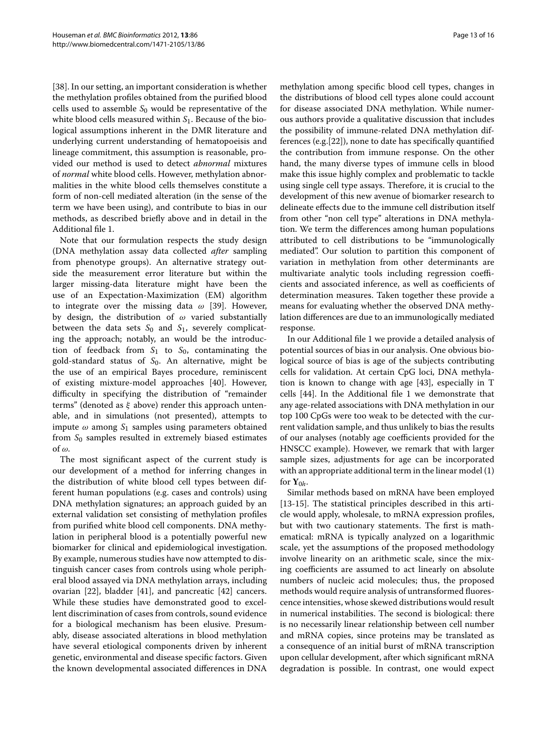[\[38\]](#page-14-35). In our setting, an important consideration is whether the methylation profiles obtained from the purified blood cells used to assemble  $S_0$  would be representative of the white blood cells measured within *S*1. Because of the biological assumptions inherent in the DMR literature and underlying current understanding of hematopoeisis and lineage commitment, this assumption is reasonable, provided our method is used to detect *abnormal* mixtures of *normal* white blood cells. However, methylation abnormalities in the white blood cells themselves constitute a form of non-cell mediated alteration (in the sense of the term we have been using), and contribute to bias in our methods, as described briefly above and in detail in the Additional file [1.](#page-13-0)

Note that our formulation respects the study design (DNA methylation assay data collected *after* sampling from phenotype groups). An alternative strategy outside the measurement error literature but within the larger missing-data literature might have been the use of an Expectation-Maximization (EM) algorithm to integrate over the missing data *ω* [\[39\]](#page-14-36). However, by design, the distribution of *ω* varied substantially between the data sets  $S_0$  and  $S_1$ , severely complicating the approach; notably, an would be the introduction of feedback from  $S_1$  to  $S_0$ , contaminating the gold-standard status of *S*0. An alternative, might be the use of an empirical Bayes procedure, reminiscent of existing mixture-model approaches [\[40\]](#page-14-37). However, difficulty in specifying the distribution of "remainder terms" (denoted as *ξ* above) render this approach untenable, and in simulations (not presented), attempts to impute  $\omega$  among  $S_1$  samples using parameters obtained from *S*<sup>0</sup> samples resulted in extremely biased estimates of *ω*.

The most significant aspect of the current study is our development of a method for inferring changes in the distribution of white blood cell types between different human populations (e.g. cases and controls) using DNA methylation signatures; an approach guided by an external validation set consisting of methylation profiles from purified white blood cell components. DNA methylation in peripheral blood is a potentially powerful new biomarker for clinical and epidemiological investigation. By example, numerous studies have now attempted to distinguish cancer cases from controls using whole peripheral blood assayed via DNA methylation arrays, including ovarian [\[22\]](#page-14-19), bladder [\[41\]](#page-14-38), and pancreatic [\[42\]](#page-15-0) cancers. While these studies have demonstrated good to excellent discrimination of cases from controls, sound evidence for a biological mechanism has been elusive. Presumably, disease associated alterations in blood methylation have several etiological components driven by inherent genetic, environmental and disease specific factors. Given the known developmental associated differences in DNA methylation among specific blood cell types, changes in the distributions of blood cell types alone could account for disease associated DNA methylation. While numerous authors provide a qualitative discussion that includes the possibility of immune-related DNA methylation differences (e.g.[\[22\]](#page-14-19)), none to date has specifically quantified the contribution from immune response. On the other hand, the many diverse types of immune cells in blood make this issue highly complex and problematic to tackle using single cell type assays. Therefore, it is crucial to the development of this new avenue of biomarker research to delineate effects due to the immune cell distribution itself from other "non cell type" alterations in DNA methylation. We term the differences among human populations attributed to cell distributions to be "immunologically mediated". Our solution to partition this component of variation in methylation from other determinants are multivariate analytic tools including regression coefficients and associated inference, as well as coefficients of determination measures. Taken together these provide a means for evaluating whether the observed DNA methylation differences are due to an immunologically mediated response.

In our Additional file [1](#page-13-0) we provide a detailed analysis of potential sources of bias in our analysis. One obvious biological source of bias is age of the subjects contributing cells for validation. At certain CpG loci, DNA methylation is known to change with age [\[43\]](#page-15-1), especially in T cells [\[44\]](#page-15-2). In the Additional file [1](#page-13-0) we demonstrate that any age-related associations with DNA methylation in our top 100 CpGs were too weak to be detected with the current validation sample, and thus unlikely to bias the results of our analyses (notably age coefficients provided for the HNSCC example). However, we remark that with larger sample sizes, adjustments for age can be incorporated with an appropriate additional term in the linear model [\(1\)](#page-2-1) for  $Y_{0h}$ .

Similar methods based on mRNA have been employed [\[13](#page-14-11)[-15\]](#page-14-12). The statistical principles described in this article would apply, wholesale, to mRNA expression profiles, but with two cautionary statements. The first is mathematical: mRNA is typically analyzed on a logarithmic scale, yet the assumptions of the proposed methodology involve linearity on an arithmetic scale, since the mixing coefficients are assumed to act linearly on absolute numbers of nucleic acid molecules; thus, the proposed methods would require analysis of untransformed fluorescence intensities, whose skewed distributions would result in numerical instabilities. The second is biological: there is no necessarily linear relationship between cell number and mRNA copies, since proteins may be translated as a consequence of an initial burst of mRNA transcription upon cellular development, after which significant mRNA degradation is possible. In contrast, one would expect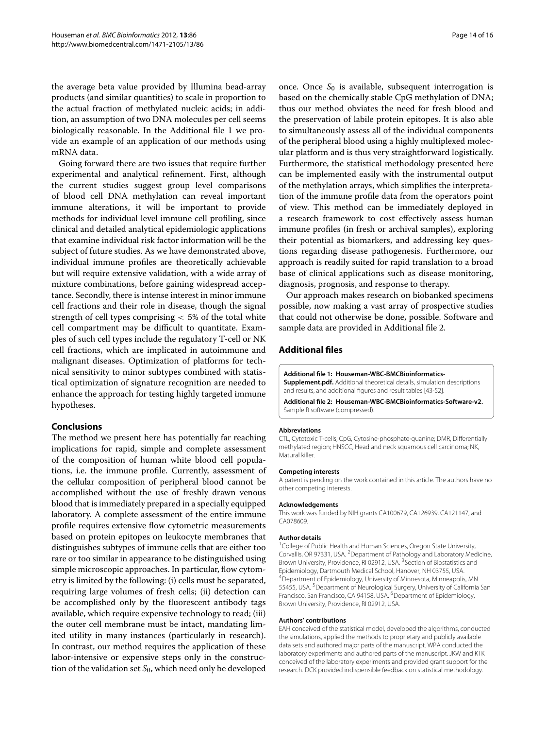the average beta value provided by Illumina bead-array products (and similar quantities) to scale in proportion to the actual fraction of methylated nucleic acids; in addition, an assumption of two DNA molecules per cell seems biologically reasonable. In the Additional file [1](#page-13-0) we provide an example of an application of our methods using mRNA data.

Going forward there are two issues that require further experimental and analytical refinement. First, although the current studies suggest group level comparisons of blood cell DNA methylation can reveal important immune alterations, it will be important to provide methods for individual level immune cell profiling, since clinical and detailed analytical epidemiologic applications that examine individual risk factor information will be the subject of future studies. As we have demonstrated above, individual immune profiles are theoretically achievable but will require extensive validation, with a wide array of mixture combinations, before gaining widespread acceptance. Secondly, there is intense interest in minor immune cell fractions and their role in disease, though the signal strength of cell types comprising *<* 5% of the total white cell compartment may be difficult to quantitate. Examples of such cell types include the regulatory T-cell or NK cell fractions, which are implicated in autoimmune and malignant diseases. Optimization of platforms for technical sensitivity to minor subtypes combined with statistical optimization of signature recognition are needed to enhance the approach for testing highly targeted immune hypotheses.

## **Conclusions**

The method we present here has potentially far reaching implications for rapid, simple and complete assessment of the composition of human white blood cell populations, i.e. the immune profile. Currently, assessment of the cellular composition of peripheral blood cannot be accomplished without the use of freshly drawn venous blood that is immediately prepared in a specially equipped laboratory. A complete assessment of the entire immune profile requires extensive flow cytometric measurements based on protein epitopes on leukocyte membranes that distinguishes subtypes of immune cells that are either too rare or too similar in appearance to be distinguished using simple microscopic approaches. In particular, flow cytometry is limited by the following: (i) cells must be separated, requiring large volumes of fresh cells; (ii) detection can be accomplished only by the fluorescent antibody tags available, which require expensive technology to read; (iii) the outer cell membrane must be intact, mandating limited utility in many instances (particularly in research). In contrast, our method requires the application of these labor-intensive or expensive steps only in the construction of the validation set  $S_0$ , which need only be developed once. Once  $S_0$  is available, subsequent interrogation is based on the chemically stable CpG methylation of DNA; thus our method obviates the need for fresh blood and the preservation of labile protein epitopes. It is also able to simultaneously assess all of the individual components of the peripheral blood using a highly multiplexed molecular platform and is thus very straightforward logistically. Furthermore, the statistical methodology presented here can be implemented easily with the instrumental output of the methylation arrays, which simplifies the interpretation of the immune profile data from the operators point of view. This method can be immediately deployed in a research framework to cost effectively assess human immune profiles (in fresh or archival samples), exploring their potential as biomarkers, and addressing key questions regarding disease pathogenesis. Furthermore, our approach is readily suited for rapid translation to a broad base of clinical applications such as disease monitoring, diagnosis, prognosis, and response to therapy.

Our approach makes research on biobanked specimens possible, now making a vast array of prospective studies that could not otherwise be done, possible. Software and sample data are provided in Additional file [2.](#page-13-1)

## **Additional files**

<span id="page-13-0"></span>**[Additional file 1:](http://www.biomedcentral.com/content/supplementary/1471-2105-13-86-S1.pdf) Houseman-WBC-BMCBioinformatics-**

**Supplement.pdf.** Additional theoretical details, simulation descriptions and results, and additional figures and result tables [\[43-](#page-15-1)[52\]](#page-15-3).

<span id="page-13-1"></span>**[Additional file 2:](http://www.biomedcentral.com/content/supplementary/1471-2105-13-86-S2.zip) Houseman-WBC-BMCBioinformatics-Software-v2.** Sample R software (compressed).

#### **Abbreviations**

CTL, Cytotoxic T-cells; CpG, Cytosine-phosphate-guanine; DMR, Differentially methylated region; HNSCC, Head and neck squamous cell carcinoma; NK, Matural killer.

#### **Competing interests**

A patent is pending on the work contained in this article. The authors have no other competing interests.

#### **Acknowledgements**

This work was funded by NIH grants CA100679, CA126939, CA121147, and CA078609.

#### **Author details**

<sup>1</sup> College of Public Health and Human Sciences, Oregon State University, Corvallis, OR 97331, USA. 2Department of Pathology and Laboratory Medicine, Brown University, Providence, RI 02912, USA. <sup>3</sup> Section of Biostatistics and Epidemiology, Dartmouth Medical School, Hanover, NH 03755, USA. 4Department of Epidemiology, University of Minnesota, Minneapolis, MN 55455, USA. <sup>5</sup> Department of Neurological Surgery, University of California San Francisco, San Francisco, CA 94158, USA. <sup>6</sup>Department of Epidemiology, Brown University, Providence, RI 02912, USA.

#### **Authors' contributions**

EAH conceived of the statistical model, developed the algorithms, conducted the simulations, applied the methods to proprietary and publicly available data sets and authored major parts of the manuscript. WPA conducted the laboratory experiments and authored parts of the manuscript. JKW and KTK conceived of the laboratory experiments and provided grant support for the research. DCK provided indispensible feedback on statistical methodology.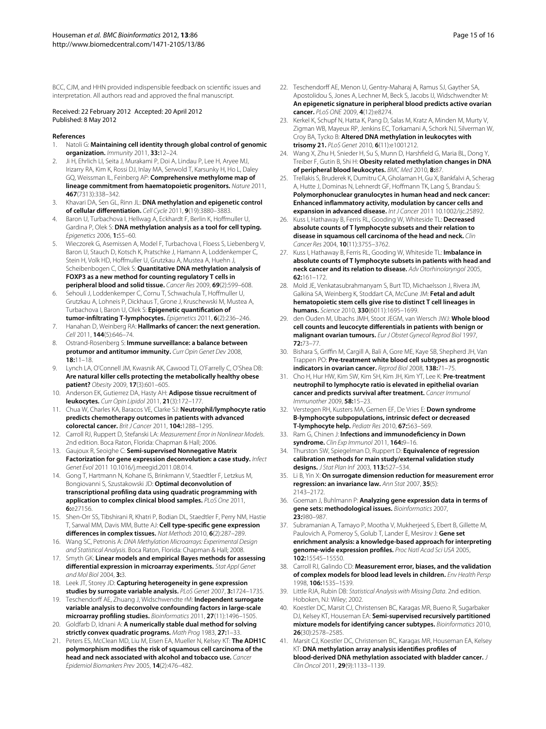BCC, CJM, and HHN provided indispensible feedback on scientific issues and interpretation. All authors read and approved the final manuscript.

#### Received: 22 February 2012 Accepted: 20 April 2012 Published: 8 May 2012

#### **References**

- <span id="page-14-0"></span>Natoli G: Maintaining cell identity through global control of genomic **organization.** Immunity 2011, **33:**12–24.
- 2. Ji H, Ehrlich LI, Seita J, Murakami P, Doi A, Lindau P, Lee H, Aryee MJ, Irizarry RA, Kim K, Rossi DJ, Inlay MA, Serwold T, Karsunky H, Ho L, Daley GQ, Weissman IL, Feinberg AP: **Comprehensive methylome map of lineage commitment from haematopoietic progenitors.** Nature 2011, **467**(7313):338–342.
- <span id="page-14-1"></span>3. Khavari DA, Sen GL, Rinn JL: **DNA methylation and epigenetic control of cellular differentiation.** Cell Cycle 2011, **9**(19):3880–3883.
- <span id="page-14-2"></span>4. Baron U, Turbachova I, Hellwag A, Eckhardt F, Berlin K, Hoffmuller U, Gardina P, Olek S: **DNA methylation analysis as a tool for cell typing.** Epigenetics 2006, **1:**55–60.
- <span id="page-14-3"></span>5. Wieczorek G, Asemissen A, Model F, Turbachova I, Floess S, Liebenberg V, Baron U, Stauch D, Kotsch K, Pratschke J, Hamann A, Loddenkemper C, Stein H, Volk HD, Hoffmuller U, Grutzkau A, Mustea A, Huehn J, Scheibenbogen C, Olek S: **Quantitative DNA methylation analysis of FOXP3 as a new method for counting regulatory T cells in peripheral blood and solid tissue.** Cancer Res 2009, **69**(2):599–608.
- <span id="page-14-4"></span>6. Sehouli J, Loddenkemper C, Cornu T, Schwachula T, Hoffmuller U, Grutzkau A, Lohneis P, Dickhaus T, Grone J, Kruschewski M, Mustea A, Turbachova I, Baron U, Olek S: **Epigenetic quantification of tumor-infiltrating T-lymphocytes.** Epigenetics 2011, **6**(2):236–246.
- <span id="page-14-5"></span>7. Hanahan D, Weinberg RA: **Hallmarks of cancer: the next generation.** Cell 2011, **144**(5):646–74.
- <span id="page-14-6"></span>8. Ostrand-Rosenberg S: **Immune surveillance: a balance between protumor and antitumor immunity.** Curr Opin Genet Dev 2008, **18:**11–18.
- <span id="page-14-7"></span>9. Lynch LA, O'Connell JM, Kwasnik AK, Cawood TJ, O'Farrelly C, O'Shea DB: **Are natural killer cells protecting the metabolically healthy obese patient?** Obesity 2009, **17**(3):601–605.
- <span id="page-14-8"></span>10. Anderson EK, Gutierrez DA, Hasty AH: **Adipose tissue recruitment of leukocytes.** Curr Opin Lipidol 2011, **21**(3):172–177.
- <span id="page-14-9"></span>11. Chua W, Charles KA, Baracos VE, Clarke SJ: **Neutrophil/lymphocyte ratio predicts chemotherapy outcomes in patients with advanced colorectal cancer.** Brit J Cancer 2011, **104:**1288–1295.
- <span id="page-14-10"></span>12. Carroll RJ, Ruppert D, Stefanski LA: Measurement Error in Nonlinear Models. 2nd edition. Boca Raton, Florida: Chapman & Hall; 2006.
- <span id="page-14-11"></span>13. Gaujoux R, Seoighe C: **Semi-supervised Nonnegative Matrix Factorization for gene expression deconvolution: a case study.** Infect Genet Evol 2011 10.1016/j.meegid.2011.08.014.
- 14. Gong T, Hartmann N, Kohane IS, Brinkmann V, Staedtler F, Letzkus M, Bongiovanni S, Szustakowski JD: **Optimal deconvolution of transcriptional profiling data using quadratic programming with application to complex clinical blood samples.** PLoS One 2011, **6:**e27156.
- <span id="page-14-12"></span>15. Shen-Orr SS, Tibshirani R, Khatri P, Bodian DL, Staedtler F, Perry NM, Hastie T, Sarwal MM, Davis MM, Butte AJ: **Cell type-specific gene expression differences in complex tissues.** Nat Methods 2010, **6**(2):287–289.
- <span id="page-14-13"></span>16. Wang SC, Petronis A: DNA Methylation Microarrays: Experimental Design and Statistical Analysis. Boca Raton, Florida: Chapman & Hall; 2008.
- <span id="page-14-14"></span>17. Smyth GK: **Linear models and empirical Bayes methods for assessing differential expression in microarray experiments.** Stat Appl Genet and Mol Biol 2004, **3:**3.
- <span id="page-14-15"></span>18. Leek JT, Storey JD: **Capturing heterogeneity in gene expression studies by surrogate variable analysis.** PLoS Genet 2007, **3:**1724–1735.
- <span id="page-14-16"></span>19. Teschendorff AE, Zhuang J, Widschwendte rM: **Independent surrogate variable analysis to deconvolve confounding factors in large-scale microarray profiling studies.** Bioinformatics 2011, **27**(11):1496–1505.
- <span id="page-14-17"></span>20. Goldfarb D, Idnani A: **A numerically stable dual method for solving strictly convex quadratic programs.** Math Prog 1983, **27:**1–33.
- <span id="page-14-18"></span>21. Peters ES, McClean MD, Liu M, Eisen EA, Mueller N, Kelsey KT: **The ADH1C polymorphism modifies the risk of squamous cell carcinoma of the head and neck associated with alcohol and tobacco use.** Cancer Epidemiol Biomarkers Prev 2005, **14**(2):476–482.
- <span id="page-14-19"></span>22. Teschendorff AE, Menon U, Gentry-Maharaj A, Ramus SJ, Gayther SA, Apostolidou S, Jones A, Lechner M, Beck S, Jacobs IJ, Widschwendter M: **An epigenetic signature in peripheral blood predicts active ovarian cancer.** PLoS ONE 2009, **4**(12):e8274.
- <span id="page-14-20"></span>23. Kerkel K, Schupf N, Hatta K, Pang D, Salas M, Kratz A, Minden M, Murty V, Zigman WB, Mayeux RP, Jenkins EC, Torkamani A, Schork NJ, Silverman W, Croy BA, Tycko B: **Altered DNA methylation in leukocytes with trisomy 21.** PLoS Genet 2010, **6**(11):e1001212.
- <span id="page-14-21"></span>24. Wang X, Zhu H, Snieder H, Su S, Munn D, Harshfield G, Maria BL, Dong Y, Treiber F, Gutin B, Shi H: **Obesity related methylation changes in DNA of peripheral blood leukocytes.** BMC Med 2010, **8:**87.
- <span id="page-14-22"></span>25. Trellakis S, Bruderek K, Dumitru CA, Gholaman H, Gu X, Bankfalvi A, Scherag A, Hutte J, Dominas N, Lehnerdt GF, Hoffmann TK, Lang S, Brandau S: **Polymorphonuclear granulocytes in human head and neck cancer: Enhanced inflammatory activity, modulation by cancer cells and expansion in advanced disease.** Int J Cancer 2011 10.1002/ijc.25892.
- <span id="page-14-23"></span>26. Kuss I, Hathaway B, Ferris RL, Gooding W, Whiteside TL: **Decreased absolute counts of T lymphocyte subsets and their relation to disease in squamous cell carcinoma of the head and neck.** Clin Cancer Res 2004, **10**(11):3755–3762.
- <span id="page-14-24"></span>27. Kuss I, Hathaway B, Ferris RL, Gooding W, Whiteside TL: **Imbalance in absolute counts of T lymphocyte subsets in patients with head and neck cancer and its relation to disease.** Adv Otorhinolaryngol 2005, **62:**161–172.
- <span id="page-14-25"></span>28. Mold JE, Venkatasubrahmanyam S, Burt TD, Michaelsson J, Rivera JM, Galkina SA, Weinberg K, Stoddart CA, McCune JM: **Fetal and adult hematopoietic stem cells give rise to distinct T cell lineages in humans.** Science 2010, **330**(6011):1695–1699.
- <span id="page-14-26"></span>29. den Ouden M, Ubachs JMH, Stoot JEGM, van Wersch JWJ: **Whole blood cell counts and leucocyte differentials in patients with benign or malignant ovarian tumours.** Eur J Obstet Gynecol Reprod Biol 1997, **72:**73–77.
- <span id="page-14-28"></span>30. Bishara S, Griffin M, Cargill A, Bali A, Gore ME, Kaye SB, Shepherd JH, Van Trappen PO: **Pre-treatment white blood cell subtypes as prognostic indicators in ovarian cancer.** Reprod Biol 2008, **138:**71–75.
- <span id="page-14-27"></span>31. Cho H, Hur HW, Kim SW, Kim SH, Kim JH, Kim YT, Lee K: **Pre-treatment neutrophil to lymphocyte ratio is elevated in epithelial ovarian cancer and predicts survival after treatment.** Cancer Immunol Immunother 2009, **58:**15–23.
- <span id="page-14-29"></span>32. Verstegen RH, Kusters MA, Gemen EF, De Vries E: **Down syndrome B-lymphocyte subpopulations, intrinsic defect or decreased T-lymphocyte help.** Pediatr Res 2010, **67:**563–569.
- <span id="page-14-30"></span>33. Ram G, Chinen J: **Infections and immunodeficiency in Down syndrome.** Clin Exp Immunol 2011, **164:**9–16.
- <span id="page-14-31"></span>34. Thurston SW, Spiegelman D, Ruppert D: **Equivalence of regression calibration methods for main study/external validation study designs.** J Stat Plan Inf 2003, **113:**527–534.
- <span id="page-14-32"></span>35. Li B, Yin X: **On surrogate dimension reduction for measurement error regression: an invariance law.** Ann Stat 2007, **35**(5): 2143–2172.
- <span id="page-14-33"></span>36. Goeman J, Buhlmann P: **Analyzing gene expression data in terms of gene sets: methodological issues.** Bioinformatics 2007, **23:**980–987.
- <span id="page-14-34"></span>37. Subramanian A, Tamayo P, Mootha V, Mukherjeed S, Ebert B, Gillette M, Paulovich A, Pomeroy S, Golub T, Lander E, Mesirov J: **Gene set enrichment analysis: a knowledge-based approach for interpreting genome-wide expression profiles.** Proc Natl Acad Sci USA 2005, **102:**15545–15550.
- <span id="page-14-35"></span>38. Carroll RJ, Galindo CD: **Measurement error, biases, and the validation of complex models for blood lead levels in children.** Env Health Persp 1998, **106:**1535–1539.
- <span id="page-14-36"></span>39. Little RJA, Rubin DB: Statistical Analysis with Missing Data. 2nd edition. Hoboken, NJ: Wiley; 2002.
- <span id="page-14-37"></span>40. Koestler DC, Marsit CJ, Christensen BC, Karagas MR, Bueno R, Sugarbaker DJ, Kelsey KT, Houseman EA: **Semi-supervised recursively partitioned mixture models for identifying cancer subtypes.** Bioinformatics 2010, **26**(30):2578–2585.
- <span id="page-14-38"></span>41. Marsit CJ, Koestler DC, Christensen BC, Karagas MR, Houseman EA, Kelsey KT: **DNA methylation array analysis identifies profiles of blood-derived DNA methylation associated with bladder cancer.** J Clin Oncol 2011, **29**(9):1133–1139.